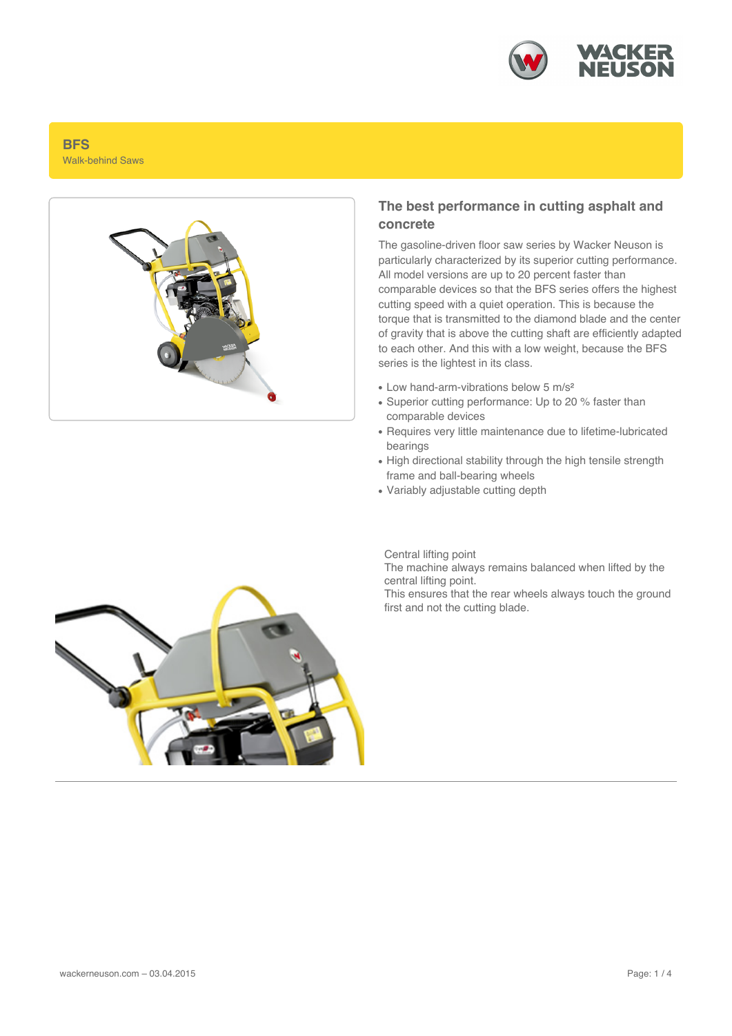

## **BFS** Walk-behind Saws



## **The best performance in cutting asphalt and concrete**

The gasoline-driven floor saw series by Wacker Neuson is particularly characterized by its superior cutting performance. All model versions are up to 20 percent faster than comparable devices so that the BFS series offers the highest cutting speed with a quiet operation. This is because the torque that is transmitted to the diamond blade and the center of gravity that is above the cutting shaft are efficiently adapted to each other. And this with a low weight, because the BFS series is the lightest in its class.

- Low hand-arm-vibrations below 5 m/s<sup>2</sup>
- Superior cutting performance: Up to 20 % faster than comparable devices
- Requires very little maintenance due to lifetime-lubricated bearings
- High directional stability through the high tensile strength frame and ball-bearing wheels
- Variably adjustable cutting depth

Central lifting point

The machine always remains balanced when lifted by the central lifting point.

This ensures that the rear wheels always touch the ground first and not the cutting blade.

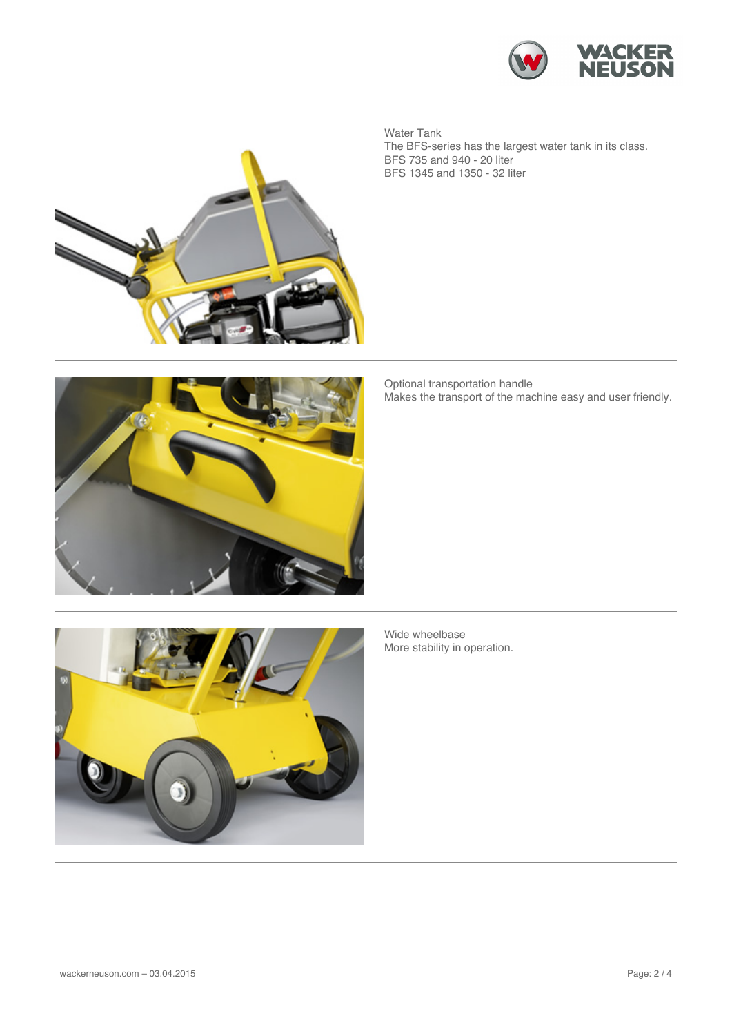

Water Tank The BFS-series has the largest water tank in its class. BFS 735 and 940 - 20 liter BFS 1345 and 1350 - 32 liter



Optional transportation handle Makes the transport of the machine easy and user friendly.



Wide wheelbase More stability in operation.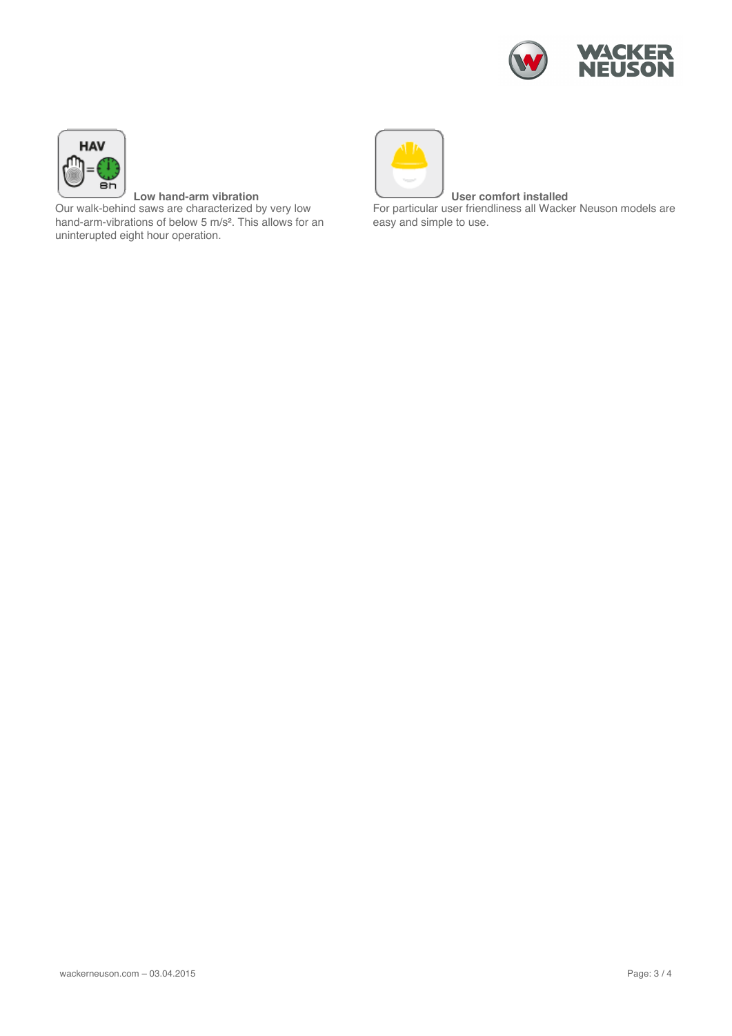



**Low hand-arm vibration** Our walk-behind saws are characterized by very low hand-arm-vibrations of below 5 m/s². This allows for an uninterupted eight hour operation.



**User comfort installed**

For particular user friendliness all Wacker Neuson models are easy and simple to use.